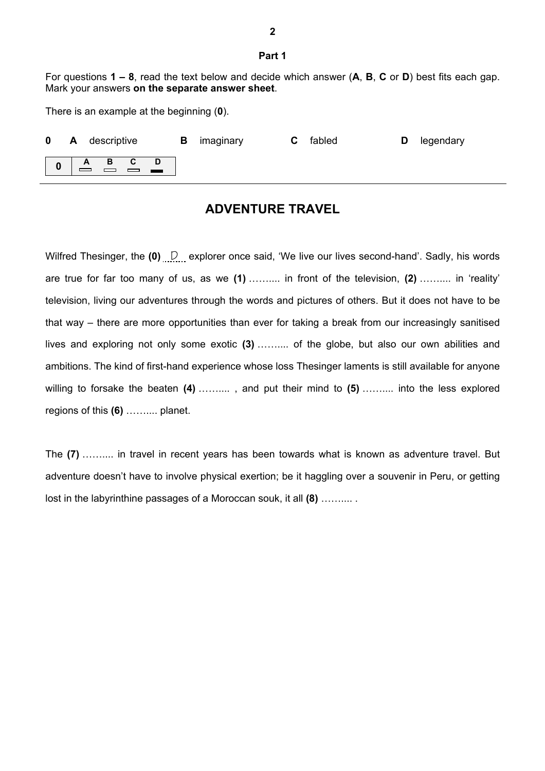For questions **1 – 8**, read the text below and decide which answer (**A**, **B**, **C** or **D**) best fits each gap. Mark your answers **on the separate answer sheet**.

There is an example at the beginning (**0**).

|  | <b>0</b> A descriptive |  |  | <b>B</b> imaginary | <b>C</b> fabled | <b>D</b> legendary |
|--|------------------------|--|--|--------------------|-----------------|--------------------|
|  |                        |  |  |                    |                 |                    |

# **ADVENTURE TRAVEL**

Wilfred Thesinger, the **(0)** D explorer once said, 'We live our lives second-hand'. Sadly, his words are true for far too many of us, as we **(1)** …….... in front of the television, **(2)** …….... in 'reality' television, living our adventures through the words and pictures of others. But it does not have to be that way – there are more opportunities than ever for taking a break from our increasingly sanitised lives and exploring not only some exotic **(3)** …….... of the globe, but also our own abilities and ambitions. The kind of first-hand experience whose loss Thesinger laments is still available for anyone willing to forsake the beaten **(4)** …….... , and put their mind to **(5)** …….... into the less explored regions of this **(6)** …….... planet.

The **(7)** …….... in travel in recent years has been towards what is known as adventure travel. But adventure doesn't have to involve physical exertion; be it haggling over a souvenir in Peru, or getting lost in the labyrinthine passages of a Moroccan souk, it all **(8)** …….... .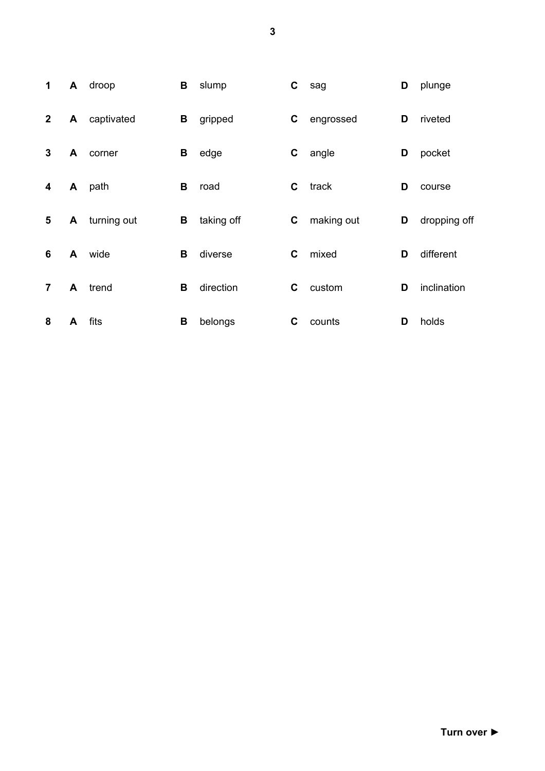| $\mathbf 1$    |              | A droop     | B | slump      | C | sag        | D | plunge       |
|----------------|--------------|-------------|---|------------|---|------------|---|--------------|
| $\mathbf{2}$   | A            | captivated  | B | gripped    | C | engrossed  | D | riveted      |
| 3              | A            | corner      | B | edge       | C | angle      | D | pocket       |
| 4              | A            | path        | B | road       | C | track      | D | course       |
| 5              | A            | turning out | B | taking off | С | making out | D | dropping off |
| 6              | $\mathsf{A}$ | wide        | B | diverse    | C | mixed      | D | different    |
| $\overline{7}$ | A            | trend       | B | direction  | C | custom     | D | inclination  |
| 8              | A            | fits        | B | belongs    | C | counts     | D | holds        |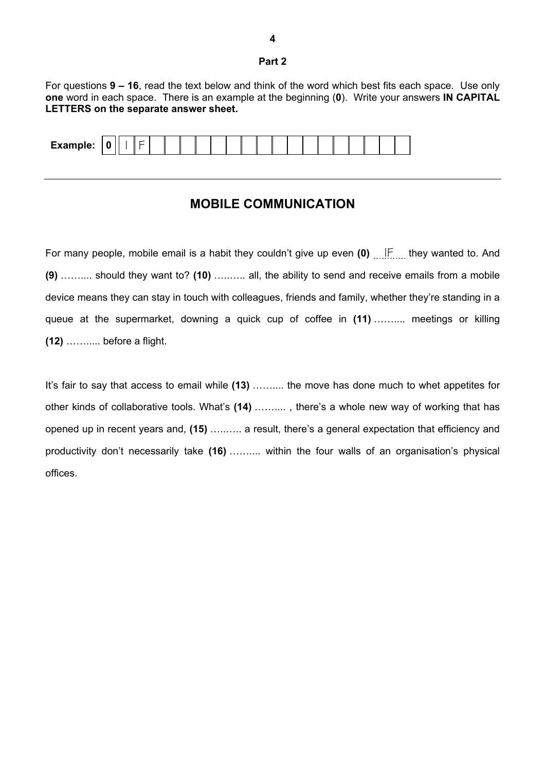For questions **9 – 16**, read the text below and think of the word which best fits each space. Use only **one** word in each space. There is an example at the beginning (**0**). Write your answers **IN CAPITAL LETTERS on the separate answer sheet.** 



### **MOBILE COMMUNICATION**

For many people, mobile email is a habit they couldn't give up even (0) IF they wanted to. And **(9)** …….... should they want to? **(10)** …..….. all, the ability to send and receive emails from a mobile device means they can stay in touch with colleagues, friends and family, whether they're standing in a queue at the supermarket, downing a quick cup of coffee in **(11)** …….... meetings or killing **(12)** ……..... before a flight.

It's fair to say that access to email while **(13)** …….... the move has done much to whet appetites for other kinds of collaborative tools. What's **(14)** …….... , there's a whole new way of working that has opened up in recent years and, **(15)** …..….. a result, there's a general expectation that efficiency and productivity don't necessarily take **(16)** …….... within the four walls of an organisation's physical offices.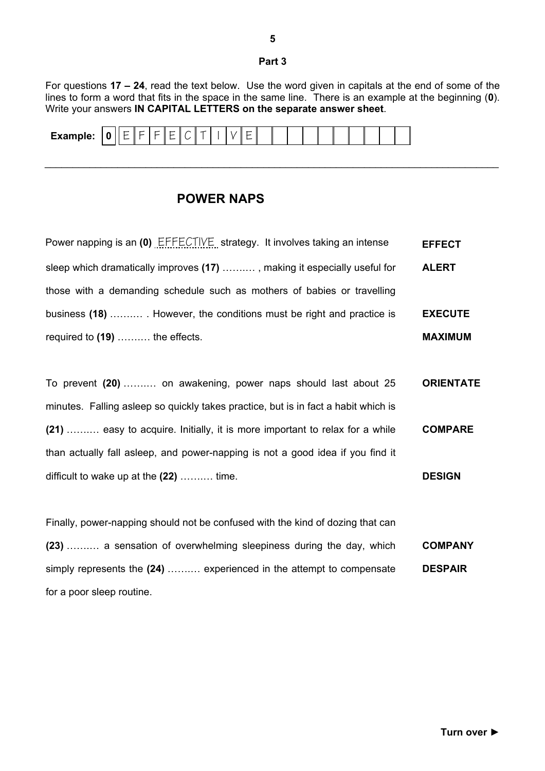For questions **17 – 24**, read the text below. Use the word given in capitals at the end of some of the lines to form a word that fits in the space in the same line. There is an example at the beginning (**0**). Write your answers **IN CAPITAL LETTERS on the separate answer sheet**.

\_\_\_\_\_\_\_\_\_\_\_\_\_\_\_\_\_\_\_\_\_\_\_\_\_\_\_\_\_\_\_\_\_\_\_\_\_\_\_\_\_\_\_\_\_\_\_\_\_\_\_\_\_\_\_\_\_\_\_\_\_\_\_\_\_\_\_\_\_\_\_\_\_\_\_\_\_\_\_\_\_



## **POWER NAPS**

| required to (19)  the effects.                                            | <b>MAXIMUM</b> |
|---------------------------------------------------------------------------|----------------|
| business (18)  However, the conditions must be right and practice is      | <b>EXECUTE</b> |
| those with a demanding schedule such as mothers of babies or travelling   |                |
| sleep which dramatically improves (17) , making it especially useful for  | <b>ALERT</b>   |
| Power napping is an (0) EFFECTIVE strategy. It involves taking an intense | <b>EFFECT</b>  |

To prevent **(20)** …….… on awakening, power naps should last about 25 minutes. Falling asleep so quickly takes practice, but is in fact a habit which is **(21)** …….… easy to acquire. Initially, it is more important to relax for a while than actually fall asleep, and power-napping is not a good idea if you find it difficult to wake up at the **(22)** …….… time. **ORIENTATE COMPARE DESIGN** 

Finally, power-napping should not be confused with the kind of dozing that can **(23)** …….… a sensation of overwhelming sleepiness during the day, which simply represents the **(24)** …….… experienced in the attempt to compensate for a poor sleep routine. **COMPANY DESPAIR**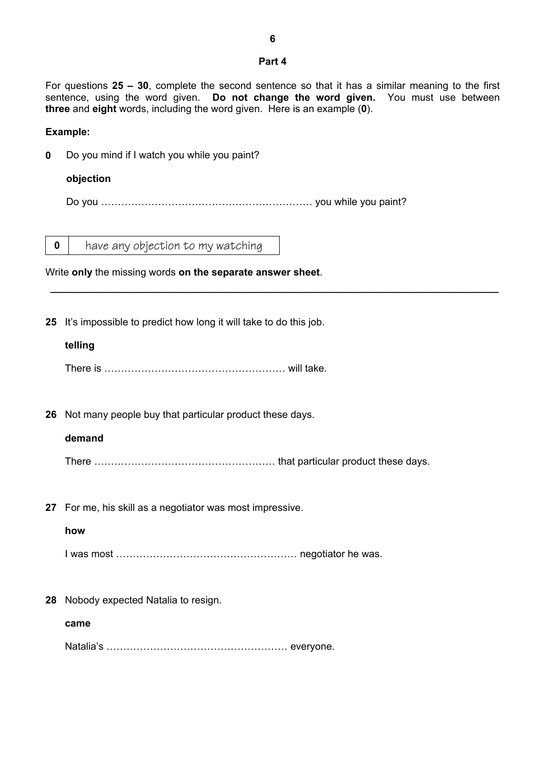For questions **25 – 30**, complete the second sentence so that it has a similar meaning to the first sentence, using the word given. **Do not change the word given.** You must use between **three** and **eight** words, including the word given. Here is an example (**0**).

**\_\_\_\_\_\_\_\_\_\_\_\_\_\_\_\_\_\_\_\_\_\_\_\_\_\_\_\_\_\_\_\_\_\_\_\_\_\_\_\_\_\_\_\_\_\_\_\_\_\_\_\_\_\_\_\_\_\_\_\_\_\_\_\_\_\_\_\_\_\_\_\_\_\_\_\_\_\_\_\_** 

### **Example:**

**0** Do you mind if I watch you while you paint?

### **objection**

Do you ……………………………………………………… you while you paint?

**0 have any objection to my watching** 

Write **only** the missing words **on the separate answer sheet**.

**25** It's impossible to predict how long it will take to do this job.

### **telling**

There is ……………………………………………… will take.

**26** Not many people buy that particular product these days.

### **demand**

There ……………………………………………… that particular product these days.

**27** For me, his skill as a negotiator was most impressive.

### **how**

I was most ……………………………………………… negotiator he was.

**28** Nobody expected Natalia to resign.

### **came**

Natalia's ……………………………………………… everyone.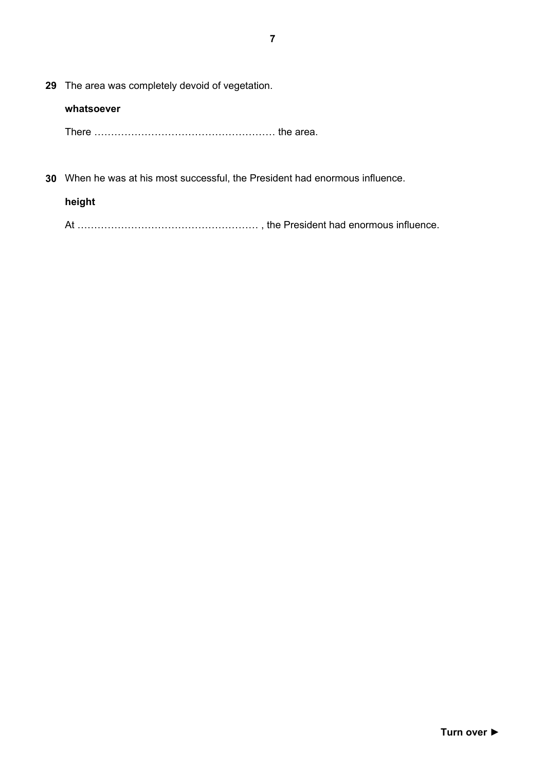**29** The area was completely devoid of vegetation.

### **whatsoever**

There ……………………………………………… the area.

**30** When he was at his most successful, the President had enormous influence.

### **height**

At ……………………………………………… , the President had enormous influence.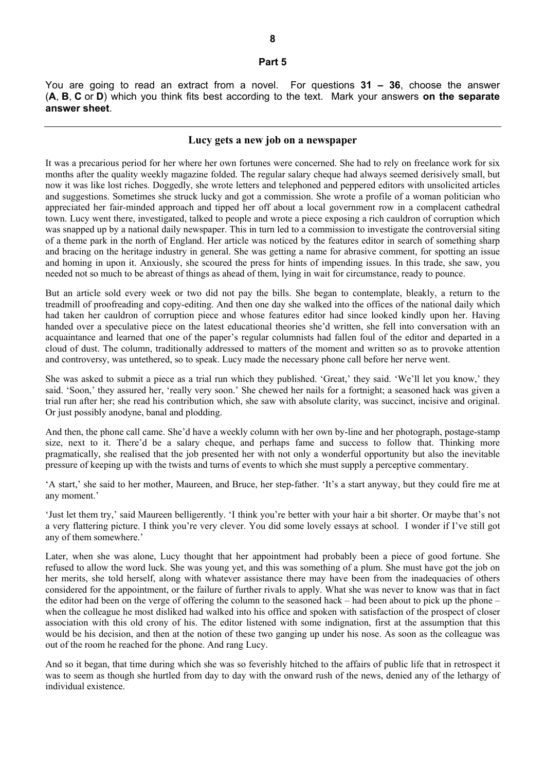You are going to read an extract from a novel. For questions **31 – 36**, choose the answer (**A**, **B**, **C** or **D**) which you think fits best according to the text. Mark your answers **on the separate answer sheet**.

#### **Lucy gets a new job on a newspaper**

It was a precarious period for her where her own fortunes were concerned. She had to rely on freelance work for six months after the quality weekly magazine folded. The regular salary cheque had always seemed derisively small, but now it was like lost riches. Doggedly, she wrote letters and telephoned and peppered editors with unsolicited articles and suggestions. Sometimes she struck lucky and got a commission. She wrote a profile of a woman politician who appreciated her fair-minded approach and tipped her off about a local government row in a complacent cathedral town. Lucy went there, investigated, talked to people and wrote a piece exposing a rich cauldron of corruption which was snapped up by a national daily newspaper. This in turn led to a commission to investigate the controversial siting of a theme park in the north of England. Her article was noticed by the features editor in search of something sharp and bracing on the heritage industry in general. She was getting a name for abrasive comment, for spotting an issue and homing in upon it. Anxiously, she scoured the press for hints of impending issues. In this trade, she saw, you needed not so much to be abreast of things as ahead of them, lying in wait for circumstance, ready to pounce.

But an article sold every week or two did not pay the bills. She began to contemplate, bleakly, a return to the treadmill of proofreading and copy-editing. And then one day she walked into the offices of the national daily which had taken her cauldron of corruption piece and whose features editor had since looked kindly upon her. Having handed over a speculative piece on the latest educational theories she'd written, she fell into conversation with an acquaintance and learned that one of the paper's regular columnists had fallen foul of the editor and departed in a cloud of dust. The column, traditionally addressed to matters of the moment and written so as to provoke attention and controversy, was untethered, so to speak. Lucy made the necessary phone call before her nerve went.

She was asked to submit a piece as a trial run which they published. 'Great,' they said. 'We'll let you know,' they said. 'Soon,' they assured her, 'really very soon.' She chewed her nails for a fortnight; a seasoned hack was given a trial run after her; she read his contribution which, she saw with absolute clarity, was succinct, incisive and original. Or just possibly anodyne, banal and plodding.

And then, the phone call came. She'd have a weekly column with her own by-line and her photograph, postage-stamp size, next to it. There'd be a salary cheque, and perhaps fame and success to follow that. Thinking more pragmatically, she realised that the job presented her with not only a wonderful opportunity but also the inevitable pressure of keeping up with the twists and turns of events to which she must supply a perceptive commentary.

'A start,' she said to her mother, Maureen, and Bruce, her step-father. 'It's a start anyway, but they could fire me at any moment.'

'Just let them try,' said Maureen belligerently. 'I think you're better with your hair a bit shorter. Or maybe that's not a very flattering picture. I think you're very clever. You did some lovely essays at school. I wonder if I've still got any of them somewhere.'

Later, when she was alone, Lucy thought that her appointment had probably been a piece of good fortune. She refused to allow the word luck. She was young yet, and this was something of a plum. She must have got the job on her merits, she told herself, along with whatever assistance there may have been from the inadequacies of others considered for the appointment, or the failure of further rivals to apply. What she was never to know was that in fact the editor had been on the verge of offering the column to the seasoned hack – had been about to pick up the phone – when the colleague he most disliked had walked into his office and spoken with satisfaction of the prospect of closer association with this old crony of his. The editor listened with some indignation, first at the assumption that this would be his decision, and then at the notion of these two ganging up under his nose. As soon as the colleague was out of the room he reached for the phone. And rang Lucy.

And so it began, that time during which she was so feverishly hitched to the affairs of public life that in retrospect it was to seem as though she hurtled from day to day with the onward rush of the news, denied any of the lethargy of individual existence.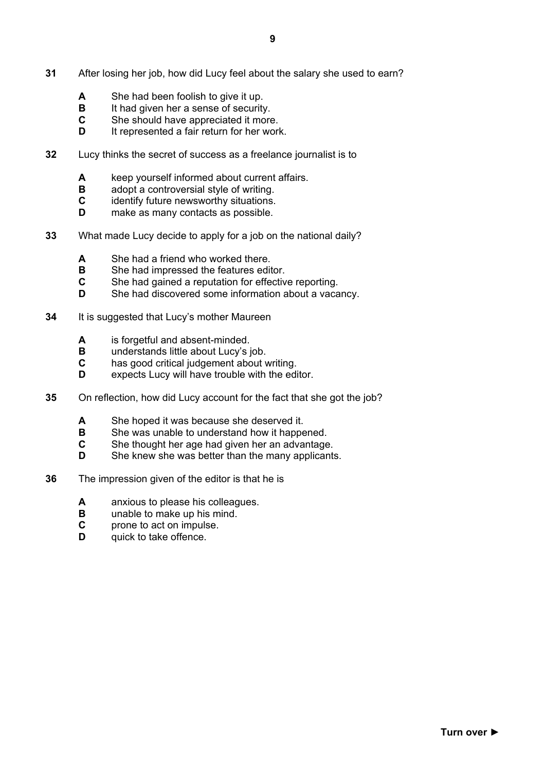- **A** She had been foolish to give it up.
- **B** It had given her a sense of security.
- **C** She should have appreciated it more.
- **D** It represented a fair return for her work.
- **32** Lucy thinks the secret of success as a freelance journalist is to
	- **A** keep yourself informed about current affairs.
	- **B** adopt a controversial style of writing.
	- **C** identify future newsworthy situations.
	- **D** make as many contacts as possible.
- **33** What made Lucy decide to apply for a job on the national daily?
	- **A** She had a friend who worked there.
	- **B** She had impressed the features editor.
	- **C** She had gained a reputation for effective reporting.
	- **D** She had discovered some information about a vacancy.
- **34** It is suggested that Lucy's mother Maureen
	- **A** is forgetful and absent-minded.
	- **B** understands little about Lucy's job.
	- **C** has good critical judgement about writing.
	- **D** expects Lucy will have trouble with the editor.
- **35** On reflection, how did Lucy account for the fact that she got the job?
	- **A** She hoped it was because she deserved it.
	- **B** She was unable to understand how it happened.
	- **C** She thought her age had given her an advantage.
	- **D** She knew she was better than the many applicants.
- **36** The impression given of the editor is that he is
	- **A** anxious to please his colleagues.<br>**B** unable to make up his mind.
	- unable to make up his mind.
	- **C** prone to act on impulse.
	- **D** quick to take offence.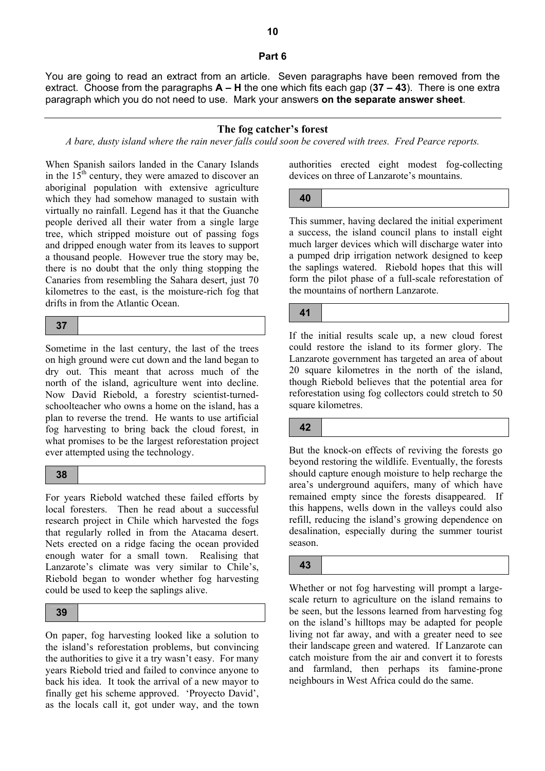You are going to read an extract from an article. Seven paragraphs have been removed from the extract. Choose from the paragraphs **A – H** the one which fits each gap (**37 – 43**). There is one extra paragraph which you do not need to use. Mark your answers **on the separate answer sheet**.

### **The fog catcher's forest**

*A bare, dusty island where the rain never falls could soon be covered with trees. Fred Pearce reports.* 

When Spanish sailors landed in the Canary Islands in the  $15<sup>th</sup>$  century, they were amazed to discover an aboriginal population with extensive agriculture which they had somehow managed to sustain with virtually no rainfall. Legend has it that the Guanche people derived all their water from a single large tree, which stripped moisture out of passing fogs and dripped enough water from its leaves to support a thousand people. However true the story may be, there is no doubt that the only thing stopping the Canaries from resembling the Sahara desert, just 70 kilometres to the east, is the moisture-rich fog that drifts in from the Atlantic Ocean.

**37** 

Sometime in the last century, the last of the trees on high ground were cut down and the land began to dry out. This meant that across much of the north of the island, agriculture went into decline. Now David Riebold, a forestry scientist-turnedschoolteacher who owns a home on the island, has a plan to reverse the trend. He wants to use artificial fog harvesting to bring back the cloud forest, in what promises to be the largest reforestation project ever attempted using the technology.

### **38**

For years Riebold watched these failed efforts by local foresters. Then he read about a successful research project in Chile which harvested the fogs that regularly rolled in from the Atacama desert. Nets erected on a ridge facing the ocean provided enough water for a small town. Realising that Lanzarote's climate was very similar to Chile's, Riebold began to wonder whether fog harvesting could be used to keep the saplings alive.

### **39**

On paper, fog harvesting looked like a solution to the island's reforestation problems, but convincing the authorities to give it a try wasn't easy. For many years Riebold tried and failed to convince anyone to back his idea. It took the arrival of a new mayor to finally get his scheme approved. 'Proyecto David', as the locals call it, got under way, and the town authorities erected eight modest fog-collecting devices on three of Lanzarote's mountains.

**40** 

This summer, having declared the initial experiment a success, the island council plans to install eight much larger devices which will discharge water into a pumped drip irrigation network designed to keep the saplings watered. Riebold hopes that this will form the pilot phase of a full-scale reforestation of the mountains of northern Lanzarote.

### **41**

If the initial results scale up, a new cloud forest could restore the island to its former glory. The Lanzarote government has targeted an area of about 20 square kilometres in the north of the island, though Riebold believes that the potential area for reforestation using fog collectors could stretch to 50 square kilometres.

### **42**

But the knock-on effects of reviving the forests go beyond restoring the wildlife. Eventually, the forests should capture enough moisture to help recharge the area's underground aquifers, many of which have remained empty since the forests disappeared. If this happens, wells down in the valleys could also refill, reducing the island's growing dependence on desalination, especially during the summer tourist season.

### **43**

Whether or not fog harvesting will prompt a largescale return to agriculture on the island remains to be seen, but the lessons learned from harvesting fog on the island's hilltops may be adapted for people living not far away, and with a greater need to see their landscape green and watered. If Lanzarote can catch moisture from the air and convert it to forests and farmland, then perhaps its famine-prone neighbours in West Africa could do the same.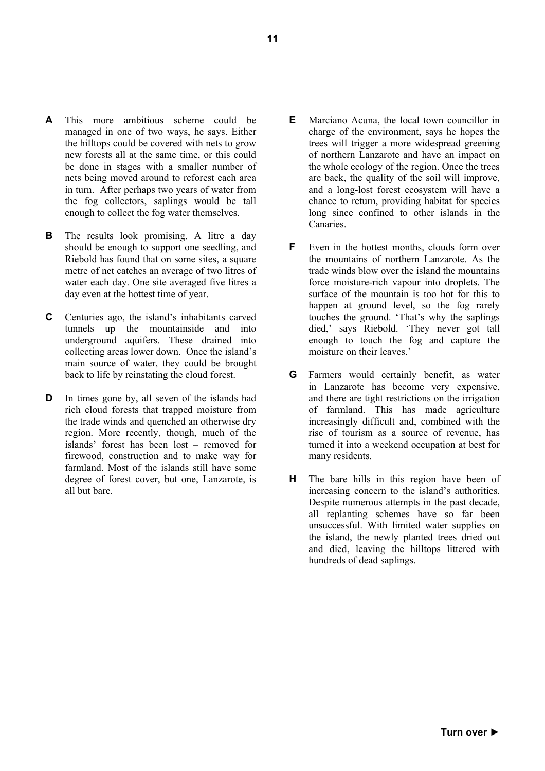- 
- **A** This more ambitious scheme could be managed in one of two ways, he says. Either the hilltops could be covered with nets to grow new forests all at the same time, or this could be done in stages with a smaller number of nets being moved around to reforest each area in turn. After perhaps two years of water from the fog collectors, saplings would be tall enough to collect the fog water themselves.
- **B** The results look promising. A litre a day should be enough to support one seedling, and Riebold has found that on some sites, a square metre of net catches an average of two litres of water each day. One site averaged five litres a day even at the hottest time of year.
- **C** Centuries ago, the island's inhabitants carved tunnels up the mountainside and into underground aquifers. These drained into collecting areas lower down. Once the island's main source of water, they could be brought back to life by reinstating the cloud forest.
- **D** In times gone by, all seven of the islands had rich cloud forests that trapped moisture from the trade winds and quenched an otherwise dry region. More recently, though, much of the islands' forest has been lost – removed for firewood, construction and to make way for farmland. Most of the islands still have some degree of forest cover, but one, Lanzarote, is all but bare.
- **E** Marciano Acuna, the local town councillor in charge of the environment, says he hopes the trees will trigger a more widespread greening of northern Lanzarote and have an impact on the whole ecology of the region. Once the trees are back, the quality of the soil will improve, and a long-lost forest ecosystem will have a chance to return, providing habitat for species long since confined to other islands in the Canaries.
- **F** Even in the hottest months, clouds form over the mountains of northern Lanzarote. As the trade winds blow over the island the mountains force moisture-rich vapour into droplets. The surface of the mountain is too hot for this to happen at ground level, so the fog rarely touches the ground. 'That's why the saplings died,' says Riebold. 'They never got tall enough to touch the fog and capture the moisture on their leaves.'
- **G** Farmers would certainly benefit, as water in Lanzarote has become very expensive, and there are tight restrictions on the irrigation of farmland. This has made agriculture increasingly difficult and, combined with the rise of tourism as a source of revenue, has turned it into a weekend occupation at best for many residents.
- **H** The bare hills in this region have been of increasing concern to the island's authorities. Despite numerous attempts in the past decade, all replanting schemes have so far been unsuccessful. With limited water supplies on the island, the newly planted trees dried out and died, leaving the hilltops littered with hundreds of dead saplings.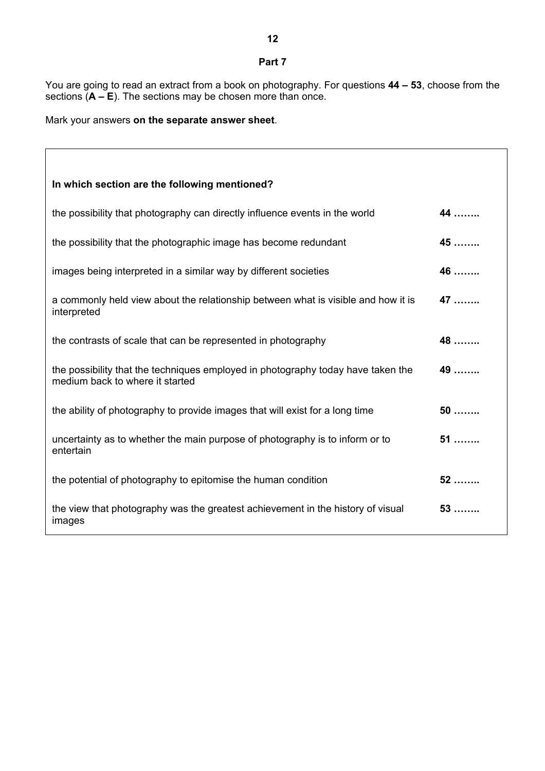You are going to read an extract from a book on photography. For questions **44 – 53**, choose from the sections (**A – E**). The sections may be chosen more than once.

Mark your answers **on the separate answer sheet**.

| In which section are the following mentioned?                                                                       |      |  |  |  |  |
|---------------------------------------------------------------------------------------------------------------------|------|--|--|--|--|
| the possibility that photography can directly influence events in the world                                         | 44   |  |  |  |  |
| the possibility that the photographic image has become redundant                                                    | 45   |  |  |  |  |
| images being interpreted in a similar way by different societies                                                    | 46   |  |  |  |  |
| a commonly held view about the relationship between what is visible and how it is<br>interpreted                    | 47   |  |  |  |  |
| the contrasts of scale that can be represented in photography                                                       | 48   |  |  |  |  |
| the possibility that the techniques employed in photography today have taken the<br>medium back to where it started | 49   |  |  |  |  |
| the ability of photography to provide images that will exist for a long time                                        | 50   |  |  |  |  |
| uncertainty as to whether the main purpose of photography is to inform or to<br>entertain                           | $51$ |  |  |  |  |
| the potential of photography to epitomise the human condition                                                       | 52   |  |  |  |  |
| the view that photography was the greatest achievement in the history of visual<br>images                           | 53   |  |  |  |  |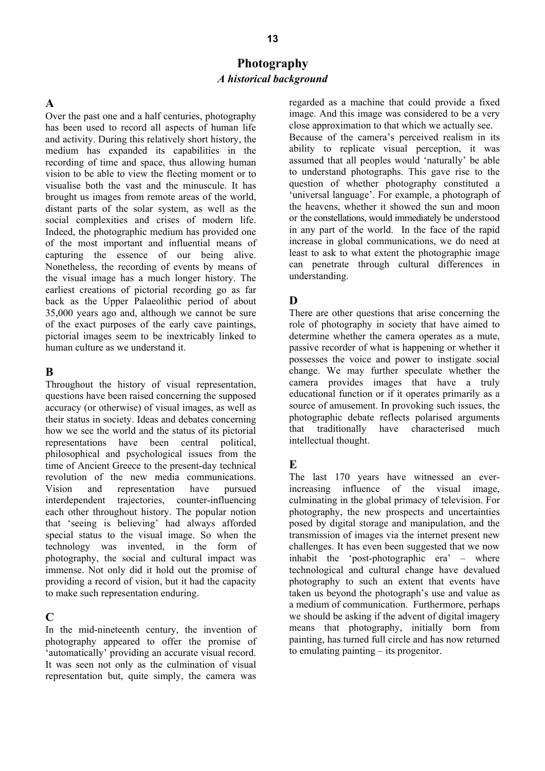# **Photography**  *A historical background*

### **A**

Over the past one and a half centuries, photography has been used to record all aspects of human life and activity. During this relatively short history, the medium has expanded its capabilities in the recording of time and space, thus allowing human vision to be able to view the fleeting moment or to visualise both the vast and the minuscule. It has brought us images from remote areas of the world, distant parts of the solar system, as well as the social complexities and crises of modern life. Indeed, the photographic medium has provided one of the most important and influential means of capturing the essence of our being alive. Nonetheless, the recording of events by means of the visual image has a much longer history. The earliest creations of pictorial recording go as far back as the Upper Palaeolithic period of about 35,000 years ago and, although we cannot be sure of the exact purposes of the early cave paintings, pictorial images seem to be inextricably linked to human culture as we understand it.

### **B**

Throughout the history of visual representation, questions have been raised concerning the supposed accuracy (or otherwise) of visual images, as well as their status in society. Ideas and debates concerning how we see the world and the status of its pictorial representations have been central political, philosophical and psychological issues from the time of Ancient Greece to the present-day technical revolution of the new media communications. Vision and representation have pursued interdependent trajectories, counter-influencing each other throughout history. The popular notion that 'seeing is believing' had always afforded special status to the visual image. So when the technology was invented, in the form of photography, the social and cultural impact was immense. Not only did it hold out the promise of providing a record of vision, but it had the capacity to make such representation enduring.

### **C**

In the mid-nineteenth century, the invention of photography appeared to offer the promise of 'automatically' providing an accurate visual record. It was seen not only as the culmination of visual representation but, quite simply, the camera was

regarded as a machine that could provide a fixed image. And this image was considered to be a very close approximation to that which we actually see. Because of the camera's perceived realism in its ability to replicate visual perception, it was assumed that all peoples would 'naturally' be able to understand photographs. This gave rise to the question of whether photography constituted a 'universal language'. For example, a photograph of the heavens, whether it showed the sun and moon or the constellations, would immediately be understood in any part of the world. In the face of the rapid increase in global communications, we do need at least to ask to what extent the photographic image can penetrate through cultural differences in understanding.

## **D**

There are other questions that arise concerning the role of photography in society that have aimed to determine whether the camera operates as a mute, passive recorder of what is happening or whether it possesses the voice and power to instigate social change. We may further speculate whether the camera provides images that have a truly educational function or if it operates primarily as a source of amusement. In provoking such issues, the photographic debate reflects polarised arguments that traditionally have characterised much intellectual thought.

### **E**

The last 170 years have witnessed an everincreasing influence of the visual image, culminating in the global primacy of television. For photography, the new prospects and uncertainties posed by digital storage and manipulation, and the transmission of images via the internet present new challenges. It has even been suggested that we now inhabit the 'post-photographic era' – where technological and cultural change have devalued photography to such an extent that events have taken us beyond the photograph's use and value as a medium of communication. Furthermore, perhaps we should be asking if the advent of digital imagery means that photography, initially born from painting, has turned full circle and has now returned to emulating painting – its progenitor.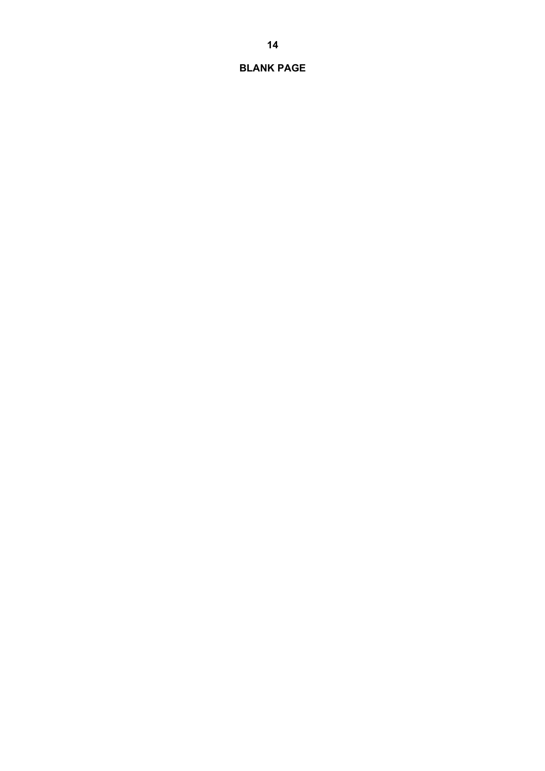# **BLANK PAGE**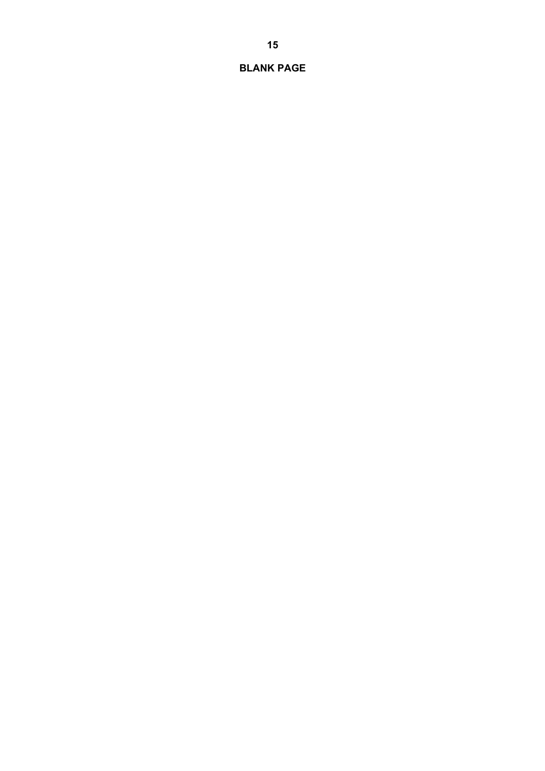## **BLANK PAGE**